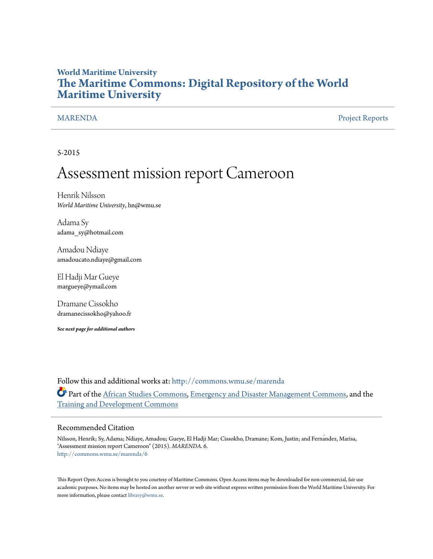# **World Maritime University [The Maritime Commons: Digital Repository of the World](http://commons.wmu.se?utm_source=commons.wmu.se%2Fmarenda%2F6&utm_medium=PDF&utm_campaign=PDFCoverPages) [Maritime University](http://commons.wmu.se?utm_source=commons.wmu.se%2Fmarenda%2F6&utm_medium=PDF&utm_campaign=PDFCoverPages)**

[MARENDA](http://commons.wmu.se/marenda?utm_source=commons.wmu.se%2Fmarenda%2F6&utm_medium=PDF&utm_campaign=PDFCoverPages) [Project Reports](http://commons.wmu.se/mer_projects?utm_source=commons.wmu.se%2Fmarenda%2F6&utm_medium=PDF&utm_campaign=PDFCoverPages)

5-2015

# Assessment mission report Cameroon

Henrik Nilsson *World Maritime University*, hn@wmu.se

Adama Sy adama\_sy@hotmail.com

Amadou Ndiaye amadoucato.ndiaye@gmail.com

El Hadji Mar Gueye margueye@ymail.com

Dramane Cissokho dramanecissokho@yahoo.fr

*See next page for additional authors*

Follow this and additional works at: [http://commons.wmu.se/marenda](http://commons.wmu.se/marenda?utm_source=commons.wmu.se%2Fmarenda%2F6&utm_medium=PDF&utm_campaign=PDFCoverPages) Part of the [African Studies Commons](http://network.bepress.com/hgg/discipline/1043?utm_source=commons.wmu.se%2Fmarenda%2F6&utm_medium=PDF&utm_campaign=PDFCoverPages), [Emergency and Disaster Management Commons,](http://network.bepress.com/hgg/discipline/1321?utm_source=commons.wmu.se%2Fmarenda%2F6&utm_medium=PDF&utm_campaign=PDFCoverPages) and the [Training and Development Commons](http://network.bepress.com/hgg/discipline/1257?utm_source=commons.wmu.se%2Fmarenda%2F6&utm_medium=PDF&utm_campaign=PDFCoverPages)

#### Recommended Citation

Nilsson, Henrik; Sy, Adama; Ndiaye, Amadou; Gueye, El Hadji Mar; Cissokho, Dramane; Kom, Justin; and Fernández, Marisa, "Assessment mission report Cameroon" (2015). *MARENDA*. 6. [http://commons.wmu.se/marenda/6](http://commons.wmu.se/marenda/6?utm_source=commons.wmu.se%2Fmarenda%2F6&utm_medium=PDF&utm_campaign=PDFCoverPages)

This Report Open Access is brought to you courtesy of Maritime Commons. Open Access items may be downloaded for non-commercial, fair use academic purposes. No items may be hosted on another server or web site without express written permission from the World Maritime University. For more information, please contact [library@wmu.se](mailto:library@wmu.edu).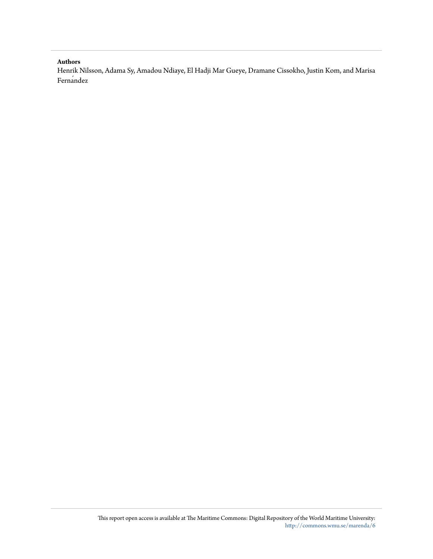#### **Authors**

Henrik Nilsson, Adama Sy, Amadou Ndiaye, El Hadji Mar Gueye, Dramane Cissokho, Justin Kom, and Marisa Fernandez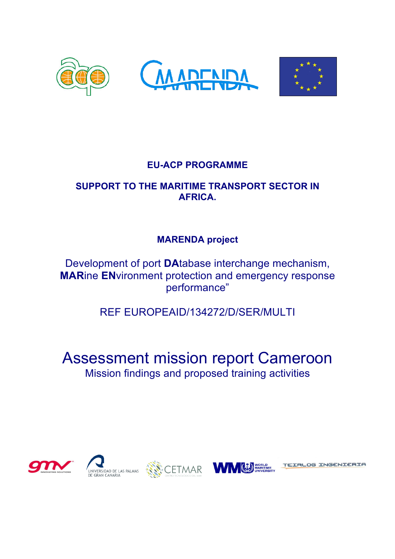

# **EU-ACP PROGRAMME**

# **SUPPORT TO THE MARITIME TRANSPORT SECTOR IN AFRICA.**

# **MARENDA project**

Development of port **DA**tabase interchange mechanism, **MAR**ine **EN**vironment protection and emergency response performance"

REF EUROPEAID/134272/D/SER/MULTI

# Assessment mission report Cameroon Mission findings and proposed training activities







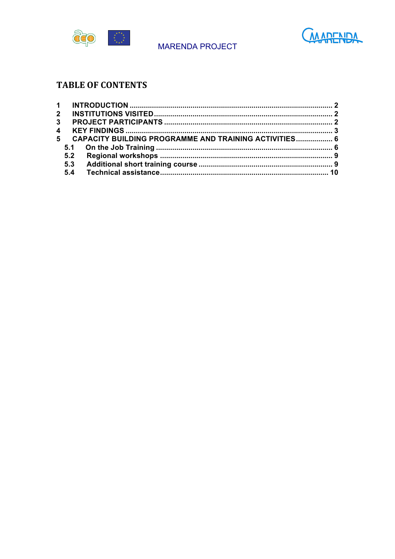



# **TABLE OF CONTENTS**

|                | $\mathbf{2}$ |                                                       |  |
|----------------|--------------|-------------------------------------------------------|--|
| 3 <sup>1</sup> |              |                                                       |  |
|                |              |                                                       |  |
| 5.             |              | CAPACITY BUILDING PROGRAMME AND TRAINING ACTIVITIES 6 |  |
|                |              |                                                       |  |
|                | 5.2          |                                                       |  |
|                | 5.3          |                                                       |  |
|                |              |                                                       |  |
|                |              |                                                       |  |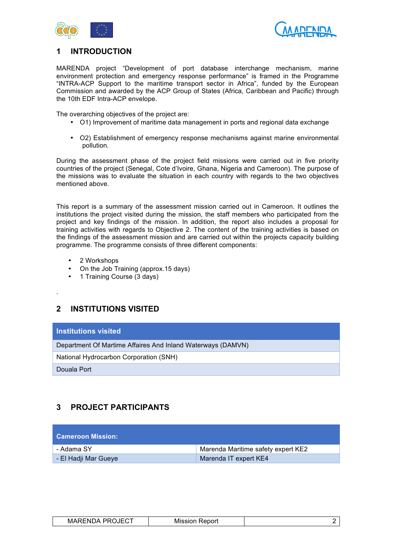



### **1 INTRODUCTION**

MARENDA project "Development of port database interchange mechanism, marine environment protection and emergency response performance" is framed in the Programme "INTRA-ACP Support to the maritime transport sector in Africa", funded by the European Commission and awarded by the ACP Group of States (Africa, Caribbean and Pacific) through the 10th EDF Intra-ACP envelope.

The overarching objectives of the project are:

- O1) Improvement of maritime data management in ports and regional data exchange
- O2) Establishment of emergency response mechanisms against marine environmental pollution.

During the assessment phase of the project field missions were carried out in five priority countries of the project (Senegal, Cote d'Ivoire, Ghana, Nigeria and Cameroon). The purpose of the missions was to evaluate the situation in each country with regards to the two objectives mentioned above.

This report is a summary of the assessment mission carried out in Cameroon. It outlines the institutions the project visited during the mission, the staff members who participated from the project and key findings of the mission. In addition, the report also includes a proposal for training activities with regards to Objective 2. The content of the training activities is based on the findings of the assessment mission and are carried out within the projects capacity building programme. The programme consists of three different components:

- 2 Workshops
- On the Job Training (approx.15 days)
- 1 Training Course (3 days)

**2 INSTITUTIONS VISITED**

#### **Institutions visited**

Department Of Martime Affaires And Inland Waterways (DAMVN)

National Hydrocarbon Corporation (SNH)

Douala Port

.

# **3 PROJECT PARTICIPANTS**

| <b>Cameroon Mission:</b> |                                    |
|--------------------------|------------------------------------|
| - Adama SY               | Marenda Maritime safety expert KE2 |
| - El Hadji Mar Gueye     | Marenda IT expert KE4              |

| <b>OJECT</b><br><b>PRO</b><br><b>MARENDA</b> | Report<br>Mission |  |
|----------------------------------------------|-------------------|--|
|----------------------------------------------|-------------------|--|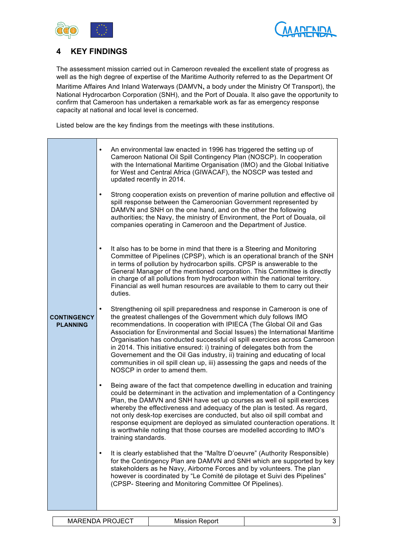



## **4 KEY FINDINGS**

The assessment mission carried out in Cameroon revealed the excellent state of progress as well as the high degree of expertise of the Maritime Authority referred to as the Department Of

Maritime Affaires And Inland Waterways (DAMVN, a body under the Ministry Of Transport), the National Hydrocarbon Corporation (SNH), and the Port of Douala. It also gave the opportunity to confirm that Cameroon has undertaken a remarkable work as far as emergency response capacity at national and local level is concerned.

Listed below are the key findings from the meetings with these institutions.

| <b>CONTINGENCY</b><br><b>PLANNING</b> | An environmental law enacted in 1996 has triggered the setting up of<br>٠<br>Cameroon National Oil Spill Contingency Plan (NOSCP). In cooperation<br>with the International Maritime Organisation (IMO) and the Global Initiative<br>for West and Central Africa (GIWACAF), the NOSCP was tested and<br>updated recently in 2014.<br>Strong cooperation exists on prevention of marine pollution and effective oil<br>٠<br>spill response between the Cameroonian Government represented by<br>DAMVN and SNH on the one hand, and on the other the following<br>authorities; the Navy, the ministry of Environment, the Port of Douala, oil<br>companies operating in Cameroon and the Department of Justice.<br>It also has to be borne in mind that there is a Steering and Monitoring<br>٠<br>Committee of Pipelines (CPSP), which is an operational branch of the SNH<br>in terms of pollution by hydrocarbon spills. CPSP is answerable to the<br>General Manager of the mentioned corporation. This Committee is directly<br>in charge of all pollutions from hydrocarbon within the national territory.<br>Financial as well human resources are available to them to carry out their<br>duties.<br>Strengthening oil spill preparedness and response in Cameroon is one of<br>$\bullet$<br>the greatest challenges of the Government which duly follows IMO<br>recommendations. In cooperation with IPIECA (The Global Oil and Gas<br>Association for Environmental and Social Issues) the International Maritime<br>Organisation has conducted successful oil spill exercices across Cameroon<br>in 2014. This initiative ensured: i) training of delegates both from the<br>Governement and the Oil Gas industry, ii) training and educating of local<br>communities in oil spill clean up, iii) assessing the gaps and needs of the<br>NOSCP in order to amend them. |   |
|---------------------------------------|---------------------------------------------------------------------------------------------------------------------------------------------------------------------------------------------------------------------------------------------------------------------------------------------------------------------------------------------------------------------------------------------------------------------------------------------------------------------------------------------------------------------------------------------------------------------------------------------------------------------------------------------------------------------------------------------------------------------------------------------------------------------------------------------------------------------------------------------------------------------------------------------------------------------------------------------------------------------------------------------------------------------------------------------------------------------------------------------------------------------------------------------------------------------------------------------------------------------------------------------------------------------------------------------------------------------------------------------------------------------------------------------------------------------------------------------------------------------------------------------------------------------------------------------------------------------------------------------------------------------------------------------------------------------------------------------------------------------------------------------------------------------------------------------------------------------------------------------------------------------------------|---|
|                                       | Being aware of the fact that competence dwelling in education and training<br>$\bullet$<br>could be determinant in the activation and implementation of a Contingency<br>Plan, the DAMVN and SNH have set up courses as well oil spill exercices<br>whereby the effectiveness and adequacy of the plan is tested. As regard,<br>not only desk-top exercises are conducted, but also oil spill combat and<br>response equipment are deployed as simulated counteraction operations. It<br>is worthwhile noting that those courses are modelled according to IMO's<br>training standards.<br>It is clearly established that the "Maître D'oeuvre" (Authority Responsible)<br>for the Contingency Plan are DAMVN and SNH which are supported by key<br>stakeholders as he Navy, Airborne Forces and by volunteers. The plan<br>however is coordinated by "Le Comité de pilotage et Suivi des Pipelines"<br>(CPSP- Steering and Monitoring Committee Of Pipelines).                                                                                                                                                                                                                                                                                                                                                                                                                                                                                                                                                                                                                                                                                                                                                                                                                                                                                                                 |   |
|                                       | <b>MARENDA PROJECT</b><br><b>Mission Report</b>                                                                                                                                                                                                                                                                                                                                                                                                                                                                                                                                                                                                                                                                                                                                                                                                                                                                                                                                                                                                                                                                                                                                                                                                                                                                                                                                                                                                                                                                                                                                                                                                                                                                                                                                                                                                                                 | 3 |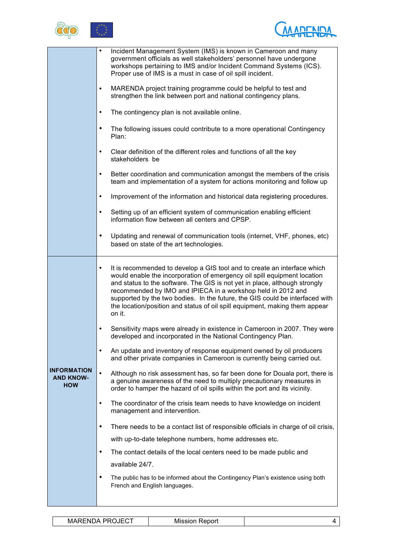



|                                                      | Incident Management System (IMS) is known in Cameroon and many<br>٠<br>government officials as well stakeholders' personnel have undergone<br>workshops pertaining to IMS and/or Incident Command Systems (ICS).<br>Proper use of IMS is a must in case of oil spill incident.                                                                                                                                                                                                           |
|------------------------------------------------------|------------------------------------------------------------------------------------------------------------------------------------------------------------------------------------------------------------------------------------------------------------------------------------------------------------------------------------------------------------------------------------------------------------------------------------------------------------------------------------------|
|                                                      | MARENDA project training programme could be helpful to test and<br>$\bullet$<br>strengthen the link between port and national contingency plans.                                                                                                                                                                                                                                                                                                                                         |
|                                                      | The contingency plan is not available online.<br>$\bullet$                                                                                                                                                                                                                                                                                                                                                                                                                               |
|                                                      | $\bullet$<br>The following issues could contribute to a more operational Contingency<br>Plan:                                                                                                                                                                                                                                                                                                                                                                                            |
|                                                      | Clear definition of the different roles and functions of all the key<br>$\bullet$<br>stakeholders be                                                                                                                                                                                                                                                                                                                                                                                     |
|                                                      | Better coordination and communication amongst the members of the crisis<br>$\bullet$<br>team and implementation of a system for actions monitoring and follow up                                                                                                                                                                                                                                                                                                                         |
|                                                      | Improvement of the information and historical data registering procedures.<br>$\bullet$                                                                                                                                                                                                                                                                                                                                                                                                  |
|                                                      | Setting up of an efficient system of communication enabling efficient<br>$\bullet$<br>information flow between all centers and CPSP.                                                                                                                                                                                                                                                                                                                                                     |
|                                                      | Updating and renewal of communication tools (internet, VHF, phones, etc)<br>$\bullet$<br>based on state of the art technologies.                                                                                                                                                                                                                                                                                                                                                         |
|                                                      | It is recommended to develop a GIS tool and to create an interface which<br>$\bullet$<br>would enable the incorporation of emergency oil spill equipment location<br>and status to the software. The GIS is not yet in place, although strongly<br>recommended by IMO and IPIECA in a workshop held in 2012 and<br>supported by the two bodies. In the future, the GIS could be interfaced with<br>the location/position and status of oil spill equipment, making them appear<br>on it. |
|                                                      | Sensitivity maps were already in existence in Cameroon in 2007. They were<br>$\bullet$<br>developed and incorporated in the National Contingency Plan.                                                                                                                                                                                                                                                                                                                                   |
|                                                      | An update and inventory of response equipment owned by oil producers<br>$\bullet$<br>and other private companies in Cameroon is currently being carried out.                                                                                                                                                                                                                                                                                                                             |
| <b>INFORMATION</b><br><b>AND KNOW-</b><br><b>HOW</b> | $\bullet$<br>Although no risk assessment has, so far been done for Douala port, there is<br>a genuine awareness of the need to multiply precautionary measures in<br>order to hamper the hazard of oil spills within the port and its vicinity.                                                                                                                                                                                                                                          |
|                                                      | The coordinator of the crisis team needs to have knowledge on incident<br>$\bullet$<br>management and intervention.                                                                                                                                                                                                                                                                                                                                                                      |
|                                                      | There needs to be a contact list of responsible officials in charge of oil crisis,<br>$\bullet$                                                                                                                                                                                                                                                                                                                                                                                          |
|                                                      | with up-to-date telephone numbers, home addresses etc.                                                                                                                                                                                                                                                                                                                                                                                                                                   |
|                                                      | $\bullet$<br>The contact details of the local centers need to be made public and                                                                                                                                                                                                                                                                                                                                                                                                         |
|                                                      | available 24/7.                                                                                                                                                                                                                                                                                                                                                                                                                                                                          |
|                                                      | $\bullet$<br>The public has to be informed about the Contingency Plan's existence using both<br>French and English languages.                                                                                                                                                                                                                                                                                                                                                            |
|                                                      |                                                                                                                                                                                                                                                                                                                                                                                                                                                                                          |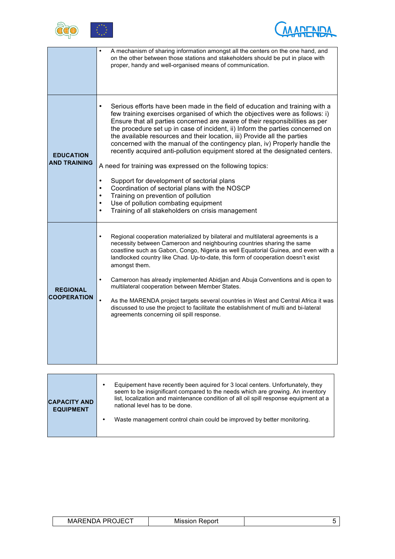



|                                         | A mechanism of sharing information amongst all the centers on the one hand, and<br>on the other between those stations and stakeholders should be put in place with<br>proper, handy and well-organised means of communication.                                                                                                                                                                                                                                                                                                                                                                                                                                                                                                                                                                                                                                                                                                            |
|-----------------------------------------|--------------------------------------------------------------------------------------------------------------------------------------------------------------------------------------------------------------------------------------------------------------------------------------------------------------------------------------------------------------------------------------------------------------------------------------------------------------------------------------------------------------------------------------------------------------------------------------------------------------------------------------------------------------------------------------------------------------------------------------------------------------------------------------------------------------------------------------------------------------------------------------------------------------------------------------------|
| <b>EDUCATION</b><br><b>AND TRAINING</b> | Serious efforts have been made in the field of education and training with a<br>$\bullet$<br>few training exercises organised of which the objectives were as follows: i)<br>Ensure that all parties concerned are aware of their responsibilities as per<br>the procedure set up in case of incident, ii) Inform the parties concerned on<br>the available resources and their location, iii) Provide all the parties<br>concerned with the manual of the contingency plan, iv) Properly handle the<br>recently acquired anti-pollution equipment stored at the designated centers.<br>A need for training was expressed on the following topics:<br>Support for development of sectorial plans<br>$\bullet$<br>Coordination of sectorial plans with the NOSCP<br>$\bullet$<br>Training on prevention of pollution<br>Use of pollution combating equipment<br>$\bullet$<br>Training of all stakeholders on crisis management<br>$\bullet$ |
| <b>REGIONAL</b><br><b>COOPERATION</b>   | Regional cooperation materialized by bilateral and multilateral agreements is a<br>$\bullet$<br>necessity between Cameroon and neighbouring countries sharing the same<br>coastline such as Gabon, Congo, Nigeria as well Equatorial Guinea, and even with a<br>landlocked country like Chad. Up-to-date, this form of cooperation doesn't exist<br>amongst them.<br>Cameroon has already implemented Abidjan and Abuja Conventions and is open to<br>$\bullet$<br>multilateral cooperation between Member States.<br>As the MARENDA project targets several countries in West and Central Africa it was<br>discussed to use the project to facilitate the establishment of multi and bi-lateral<br>agreements concerning oil spill response.                                                                                                                                                                                              |
|                                         |                                                                                                                                                                                                                                                                                                                                                                                                                                                                                                                                                                                                                                                                                                                                                                                                                                                                                                                                            |
|                                         | Equipement have recently been aquired for 3 local centers. Unfortunately, they                                                                                                                                                                                                                                                                                                                                                                                                                                                                                                                                                                                                                                                                                                                                                                                                                                                             |

| <b>CAPACITY AND</b><br><b>EQUIPMENT</b> | Equipement have recently been aguired for 3 local centers. Unfortunately, they<br>seem to be insignificant compared to the needs which are growing. An inventory<br>list, localization and maintenance condition of all oil spill response equipment at a<br>national level has to be done. |
|-----------------------------------------|---------------------------------------------------------------------------------------------------------------------------------------------------------------------------------------------------------------------------------------------------------------------------------------------|
|                                         | Waste management control chain could be improved by better monitoring.                                                                                                                                                                                                                      |

| $ -$                           |  |
|--------------------------------|--|
| MARFNE<br>⊪<br>MISSIO<br>epor. |  |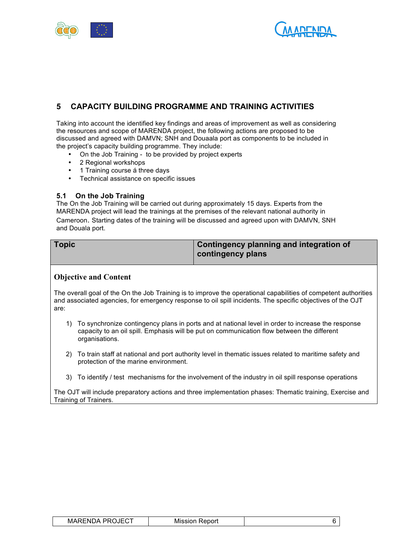



# **5 CAPACITY BUILDING PROGRAMME AND TRAINING ACTIVITIES**

Taking into account the identified key findings and areas of improvement as well as considering the resources and scope of MARENDA project, the following actions are proposed to be discussed and agreed with DAMVN; SNH and Douaala port as components to be included in the project's capacity building programme. They include:

- On the Job Training to be provided by project experts
- 2 Regional workshops
- 1 Training course á three days
- Technical assistance on specific issues

#### **5.1 On the Job Training**

The On the Job Training will be carried out during approximately 15 days. Experts from the MARENDA project will lead the trainings at the premises of the relevant national authority in Cameroon. Starting dates of the training will be discussed and agreed upon with DAMVN, SNH and Douala port.

| <b>Topic</b> | <b>Contingency planning and integration of</b> |
|--------------|------------------------------------------------|
|              | contingency plans                              |

### **Objective and Content**

The overall goal of the On the Job Training is to improve the operational capabilities of competent authorities and associated agencies, for emergency response to oil spill incidents. The specific objectives of the OJT are:

- 1) To synchronize contingency plans in ports and at national level in order to increase the response capacity to an oil spill. Emphasis will be put on communication flow between the different organisations.
- 2) To train staff at national and port authority level in thematic issues related to maritime safety and protection of the marine environment.
- 3) To identify / test mechanisms for the involvement of the industry in oil spill response operations

The OJT will include preparatory actions and three implementation phases: Thematic training, Exercise and Training of Trainers.

| . DDA IEAT<br>MARENDA<br>∼<br>∪∟ט | Report<br><b>Mission</b> |  |  |
|-----------------------------------|--------------------------|--|--|
|-----------------------------------|--------------------------|--|--|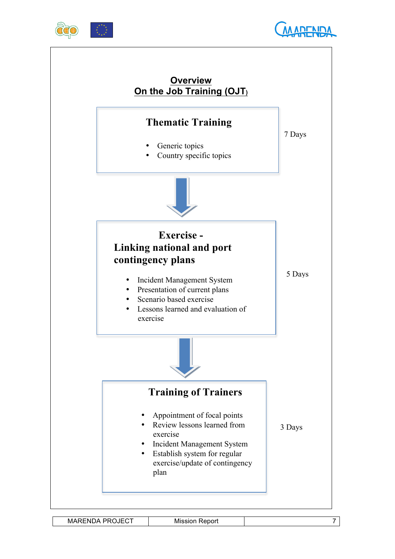





MARENDA PROJECT Mission Report 7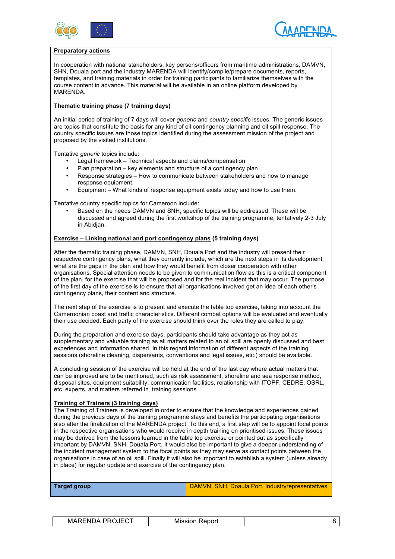



#### **Preparatory actions**

In cooperation with national stakeholders, key persons/officers from maritime administrations, DAMVN, SHN, Douala port and the industry MARENDA will identify/compile/prepare documents, reports, templates, and training materials in order for training participants to familiarize themselves with the course content in advance. This material will be available in an online platform developed by MARENDA.

#### **Thematic training phase (7 training days)**

An initial period of training of 7 days will cover *generic* and *country specific* issues. The generic issues are topics that constitute the basis for any kind of oil contingency planning and oil spill response. The country specific issues are those topics identified during the assessment mission of the project and proposed by the visited institutions.

Tentative *generic* topics include:

- Legal framework Technical aspects and claims/compensation
- Plan preparation key elements and structure of a contingency plan
- Response strategies How to communicate between stakeholders and how to manage response equipment.
- Equipment What kinds of response equipment exists today and how to use them.

Tentative country specific topics for Cameroon include:

• Based on the needs DAMVN and SNH, specific topics will be addressed. These will be discussed and agreed during the first workshop of the training programme, tentatively 2-3 July in Abidjan.

#### **Exercise – Linking national and port contingency plans (5 training days)**

After the thematic training phase, DAMVN, SNH, Douala Port and the industry will present their respective contingency plans, what they currently include, which are the next steps in its development, what are the gaps in the plan and how they would benefit from closer cooperation with other organisations. Special attention needs to be given to communication flow as this is a critical component of the plan, for the exercise that will be proposed and for the real incident that may occur. The purpose of the first day of the exercise is to ensure that all organisations involved get an idea of each other's contingency plans, their content and structure.

The next step of the exercise is to present and execute the table top exercise, taking into account the Cameroonian coast and traffic characteristics. Different combat options will be evaluated and eventually their use decided. Each party of the exercise should think over the roles they are called to play.

During the preparation and exercise days, participants should take advantage as they act as supplementary and valuable training as all matters related to an oil spill are openly discussed and best experiences and information shared. In this regard information of different aspects of the training sessions (shoreline cleaning, dispersants, conventions and legal issues, etc.) should be available.

A concluding session of the exercise will be held at the end of the last day where actual matters that can be improved are to be mentioned, such as risk assessment, shoreline and sea response method, disposal sites, equipment suitability, communication facilities, relationship with ITOPF, CEDRE, OSRL, etc. experts, and matters referred in training sessions.

#### **Training of Trainers (3 training days)**

The Training of Trainers is developed in order to ensure that the knowledge and experiences gained during the previous days of the training programme stays and benefits the participating organisations also after the finalization of the MARENDA project. To this end, a first step will be to appoint focal points in the respective organisations who would receive in depth training on prioritised issues. These issues may be derived from the lessons learned in the table top exercise or pointed out as specifically important by DAMVN, SNH, Douala Port. It would also be important to give a deeper understanding of the incident management system to the focal points as they may serve as contact points between the organisations in case of an oil spill. Finally it will also be important to establish a system (unless already in place) for regular update and exercise of the contingency plan.

| <b>Target group</b> | <b>DAMVN, SNH, Doaula Port, Industryrepresentatives</b> |
|---------------------|---------------------------------------------------------|
|                     |                                                         |

| <b>MARENDA PROJECT</b> | <b>Mission Report</b> |  |
|------------------------|-----------------------|--|
|------------------------|-----------------------|--|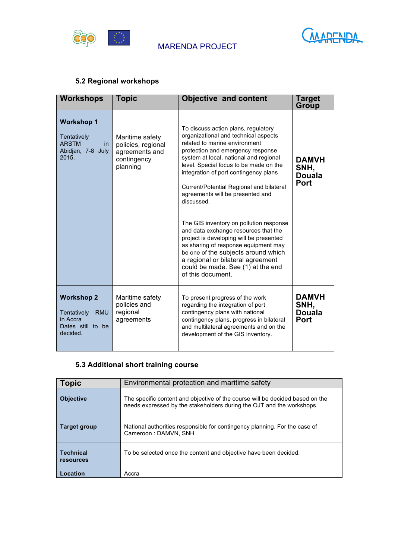



# **5.2 Regional workshops**

| <b>Workshops</b>                                                                            | Topic                                                                              | <b>Objective and content</b>                                                                                                                                                                                                                                                                                                                                                                                                                                                                                                                                                                                                                                                             | Target<br>Group                                      |
|---------------------------------------------------------------------------------------------|------------------------------------------------------------------------------------|------------------------------------------------------------------------------------------------------------------------------------------------------------------------------------------------------------------------------------------------------------------------------------------------------------------------------------------------------------------------------------------------------------------------------------------------------------------------------------------------------------------------------------------------------------------------------------------------------------------------------------------------------------------------------------------|------------------------------------------------------|
| <b>Workshop 1</b><br>Tentatively<br><b>ARSTM</b><br>in.<br>Abidjan, 7-8 July<br>2015.       | Maritime safety<br>policies, regional<br>agreements and<br>contingency<br>planning | To discuss action plans, regulatory<br>organizational and technical aspects<br>related to marine environment<br>protection and emergency response<br>system at local, national and regional<br>level. Special focus to be made on the<br>integration of port contingency plans<br>Current/Potential Regional and bilateral<br>agreements will be presented and<br>discussed.<br>The GIS inventory on pollution response<br>and data exchange resources that the<br>project is developing will be presented<br>as sharing of response equipment may<br>be one of the subjects around which<br>a regional or bilateral agreement<br>could be made. See (1) at the end<br>of this document. | <b>DAMVH</b><br>SNH,<br><b>Douala</b><br>Port        |
| <b>Workshop 2</b><br>Tentatively<br><b>RMU</b><br>in Accra<br>Dates still to be<br>decided. | Maritime safety<br>policies and<br>regional<br>agreements                          | To present progress of the work<br>regarding the integration of port<br>contingency plans with national<br>contingency plans, progress in bilateral<br>and multilateral agreements and on the<br>development of the GIS inventory.                                                                                                                                                                                                                                                                                                                                                                                                                                                       | <b>DAMVH</b><br>SNH,<br><b>Douala</b><br><b>Port</b> |

# **5.3 Additional short training course**

| Topic                         | Environmental protection and maritime safety                                                                                                           |  |
|-------------------------------|--------------------------------------------------------------------------------------------------------------------------------------------------------|--|
| <b>Objective</b>              | The specific content and objective of the course will be decided based on the<br>needs expressed by the stakeholders during the OJT and the workshops. |  |
| Target group                  | National authorities responsible for contingency planning. For the case of<br>Cameroon: DAMVN, SNH                                                     |  |
| <b>Technical</b><br>resources | To be selected once the content and objective have been decided.                                                                                       |  |
| Location                      | Accra                                                                                                                                                  |  |